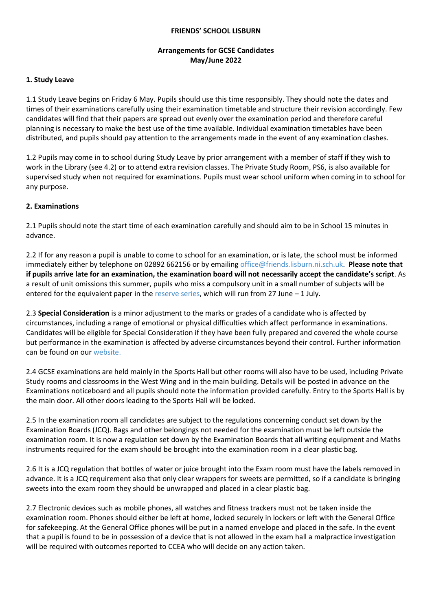#### **FRIENDS' SCHOOL LISBURN**

# **Arrangements for GCSE Candidates May/June 2022**

#### **1. Study Leave**

1.1 Study Leave begins on Friday 6 May. Pupils should use this time responsibly. They should note the dates and times of their examinations carefully using their examination timetable and structure their revision accordingly. Few candidates will find that their papers are spread out evenly over the examination period and therefore careful planning is necessary to make the best use of the time available. Individual examination timetables have been distributed, and pupils should pay attention to the arrangements made in the event of any examination clashes.

1.2 Pupils may come in to school during Study Leave by prior arrangement with a member of staff if they wish to work in the Library (see 4.2) or to attend extra revision classes. The Private Study Room, PS6, is also available for supervised study when not required for examinations. Pupils must wear school uniform when coming in to school for any purpose.

### **2. Examinations**

2.1 Pupils should note the start time of each examination carefully and should aim to be in School 15 minutes in advance.

2.2 If for any reason a pupil is unable to come to school for an examination, or is late, the school must be informed immediately either by telephone on 02892 662156 or by emailing [office@friends.lisburn.ni.sch.uk.](mailto:office@friends.lisburn.ni.sch.uk) **Please note that if pupils arrive late for an examination, the examination board will not necessarily accept the candidate's script**. As a result of unit omissions this summer, pupils who miss a compulsory unit in a small number of subjects will be entered for the equivalent paper in th[e reserve series,](https://ccea.org.uk/downloads/docs/ccea-asset/Examinations/Final%20GCSE%20Reserve%20Examinations%20Timetable%20Summer%202022.pdf) which will run from 27 June – 1 July.

2.3 **Special Consideration** is a minor adjustment to the marks or grades of a candidate who is affected by circumstances, including a range of emotional or physical difficulties which affect performance in examinations. Candidates will be eligible for Special Consideration if they have been fully prepared and covered the whole course but performance in the examination is affected by adverse circumstances beyond their control. Further information can be found on our [website.](https://www.friendsschoollisburn.org.uk/index.php/school-life/academic/examinations/external) 

2.4 GCSE examinations are held mainly in the Sports Hall but other rooms will also have to be used, including Private Study rooms and classrooms in the West Wing and in the main building. Details will be posted in advance on the Examinations noticeboard and all pupils should note the information provided carefully. Entry to the Sports Hall is by the main door. All other doors leading to the Sports Hall will be locked.

2.5 In the examination room all candidates are subject to the regulations concerning conduct set down by the Examination Boards (JCQ). Bags and other belongings not needed for the examination must be left outside the examination room. It is now a regulation set down by the Examination Boards that all writing equipment and Maths instruments required for the exam should be brought into the examination room in a clear plastic bag.

2.6 It is a JCQ regulation that bottles of water or juice brought into the Exam room must have the labels removed in advance. It is a JCQ requirement also that only clear wrappers for sweets are permitted, so if a candidate is bringing sweets into the exam room they should be unwrapped and placed in a clear plastic bag.

2.7 Electronic devices such as mobile phones, all watches and fitness trackers must not be taken inside the examination room. Phones should either be left at home, locked securely in lockers or left with the General Office for safekeeping. At the General Office phones will be put in a named envelope and placed in the safe. In the event that a pupil is found to be in possession of a device that is not allowed in the exam hall a malpractice investigation will be required with outcomes reported to CCEA who will decide on any action taken.